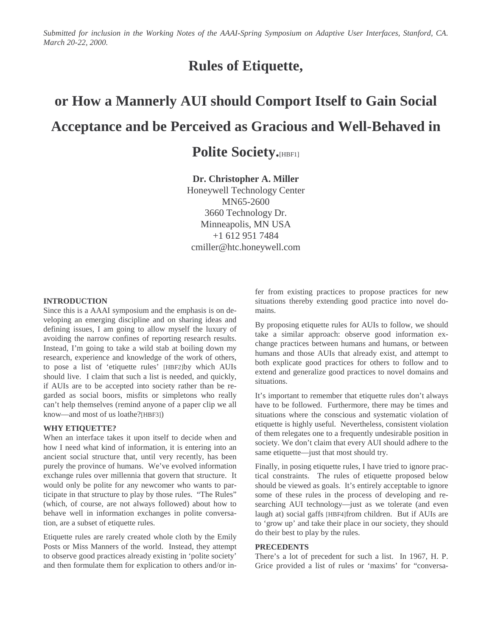Submitted for inclusion in the Working Notes of the AAAI-Spring Symposium on Adaptive User Interfaces, Stanford, CA. *March 20-22, 2000.*

# **Rules of Etiquette,**

# **or How a Mannerly AUI should Comport Itself to Gain Social Acceptance and be Perceived as Gracious and Well-Behaved in**

# **Polite Society.**[HBF1]

## **Dr. Christopher A. Miller**

Honeywell Technology Center MN65-2600 3660 Technology Dr. Minneapolis, MN USA +1 612 951 7484 cmiller@htc.honeywell.com

#### **INTRODUCTION**

Since this is a AAAI symposium and the emphasis is on developing an emerging discipline and on sharing ideas and defining issues, I am going to allow myself the luxury of avoiding the narrow confines of reporting research results. Instead, I'm going to take a wild stab at boiling down my research, experience and knowledge of the work of others, to pose a list of 'etiquette rules' [HBF2]by which AUIs should live. I claim that such a list is needed, and quickly, if AUIs are to be accepted into society rather than be regarded as social boors, misfits or simpletons who really can't help themselves (remind anyone of a paper clip we all know—and most of us loathe?[HBF3])

#### **WHY ETIQUETTE?**

When an interface takes it upon itself to decide when and how I need what kind of information, it is entering into an ancient social structure that, until very recently, has been purely the province of humans. We've evolved information exchange rules over millennia that govern that structure. It would only be polite for any newcomer who wants to participate in that structure to play by those rules. "The Rules" (which, of course, are not always followed) about how to behave well in information exchanges in polite conversation, are a subset of etiquette rules.

Etiquette rules are rarely created whole cloth by the Emily Posts or Miss Manners of the world. Instead, they attempt to observe good practices already existing in 'polite society' and then formulate them for explication to others and/or infer from existing practices to propose practices for new situations thereby extending good practice into novel domains.

By proposing etiquette rules for AUIs to follow, we should take a similar approach: observe good information exchange practices between humans and humans, or between humans and those AUIs that already exist, and attempt to both explicate good practices for others to follow and to extend and generalize good practices to novel domains and situations.

It's important to remember that etiquette rules don't always have to be followed. Furthermore, there may be times and situations where the conscious and systematic violation of etiquette is highly useful. Nevertheless, consistent violation of them relegates one to a frequently undesirable position in society. We don't claim that every AUI should adhere to the same etiquette—just that most should try.

Finally, in posing etiquette rules, I have tried to ignore practical constraints. The rules of etiquette proposed below should be viewed as goals. It's entirely acceptable to ignore some of these rules in the process of developing and researching AUI technology—just as we tolerate (and even laugh at) social gaffs [HBF4]from children. But if AUIs are to 'grow up' and take their place in our society, they should do their best to play by the rules.

#### **PRECEDENTS**

There's a lot of precedent for such a list. In 1967, H. P. Grice provided a list of rules or 'maxims' for "conversa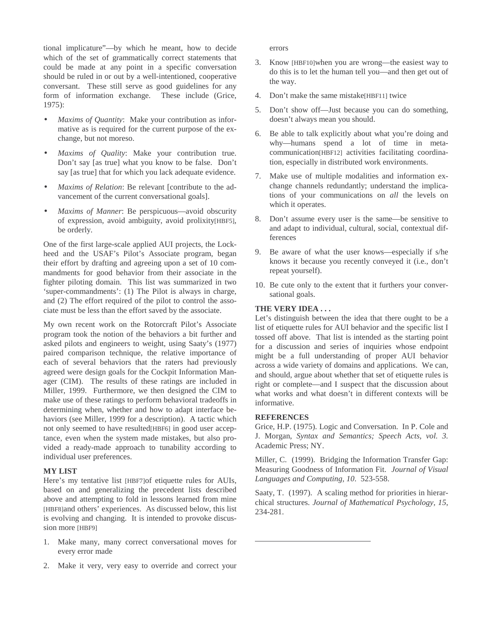tional implicature"—by which he meant, how to decide which of the set of grammatically correct statements that could be made at any point in a specific conversation should be ruled in or out by a well-intentioned, cooperative conversant. These still serve as good guidelines for any form of information exchange. These include (Grice, 1975):

- *Maxims of Quantity*: Make your contribution as informative as is required for the current purpose of the exchange, but not moreso.
- *Maxims of Quality*: Make your contribution true. Don't say [as true] what you know to be false. Don't say [as true] that for which you lack adequate evidence.
- *Maxims of Relation*: Be relevant [contribute to the advancement of the current conversational goals].
- *Maxims of Manner*: Be perspicuous—avoid obscurity of expression, avoid ambiguity, avoid prolixity[HBF5], be orderly.

One of the first large-scale applied AUI projects, the Lockheed and the USAF's Pilot's Associate program, began their effort by drafting and agreeing upon a set of 10 commandments for good behavior from their associate in the fighter piloting domain. This list was summarized in two 'super-commandments': (1) The Pilot is always in charge, and (2) The effort required of the pilot to control the associate must be less than the effort saved by the associate.

My own recent work on the Rotorcraft Pilot's Associate program took the notion of the behaviors a bit further and asked pilots and engineers to weight, using Saaty's (1977) paired comparison technique, the relative importance of each of several behaviors that the raters had previously agreed were design goals for the Cockpit Information Manager (CIM). The results of these ratings are included in Miller, 1999. Furthermore, we then designed the CIM to make use of these ratings to perform behavioral tradeoffs in determining when, whether and how to adapt interface behaviors (see Miller, 1999 for a description). A tactic which not only seemed to have resulted[HBF6] in good user acceptance, even when the system made mistakes, but also provided a ready-made approach to tunability according to individual user preferences.

#### **MY LIST**

Here's my tentative list [HBF7]of etiquette rules for AUIs, based on and generalizing the precedent lists described above and attempting to fold in lessons learned from mine [HBF8]and others' experiences. As discussed below, this list is evolving and changing. It is intended to provoke discussion more [HBF9]

- 1. Make many, many correct conversational moves for every error made
- 2. Make it very, very easy to override and correct your

errors

- 3. Know [HBF10]when you are wrong—the easiest way to do this is to let the human tell you—and then get out of the way.
- 4. Don't make the same mistake[HBF11] twice
- 5. Don't show off—Just because you can do something, doesn't always mean you should.
- 6. Be able to talk explicitly about what you're doing and why—humans spend a lot of time in metacommunication[HBF12] activities facilitating coordination, especially in distributed work environments.
- 7. Make use of multiple modalities and information exchange channels redundantly; understand the implications of your communications on *all* the levels on which it operates.
- 8. Don't assume every user is the same—be sensitive to and adapt to individual, cultural, social, contextual differences
- 9. Be aware of what the user knows—especially if s/he knows it because you recently conveyed it (i.e., don't repeat yourself).
- 10. Be cute only to the extent that it furthers your conversational goals.

### **THE VERY IDEA . . .**

Let's distinguish between the idea that there ought to be a list of etiquette rules for AUI behavior and the specific list I tossed off above. That list is intended as the starting point for a discussion and series of inquiries whose endpoint might be a full understanding of proper AUI behavior across a wide variety of domains and applications. We can, and should, argue about whether that set of etiquette rules is right or complete—and I suspect that the discussion about what works and what doesn't in different contexts will be informative.

#### **REFERENCES**

Grice, H.P. (1975). Logic and Conversation. In P. Cole and J. Morgan, *Syntax and Semantics; Speech Acts, vol. 3.* Academic Press; NY.

Miller, C. (1999). Bridging the Information Transfer Gap: Measuring Goodness of Information Fit. *Journal of Visual Languages and Computing, 10*. 523-558.

Saaty, T. (1997). A scaling method for priorities in hierarchical structures. *Journal of Mathematical Psychology, 15*, 234-281.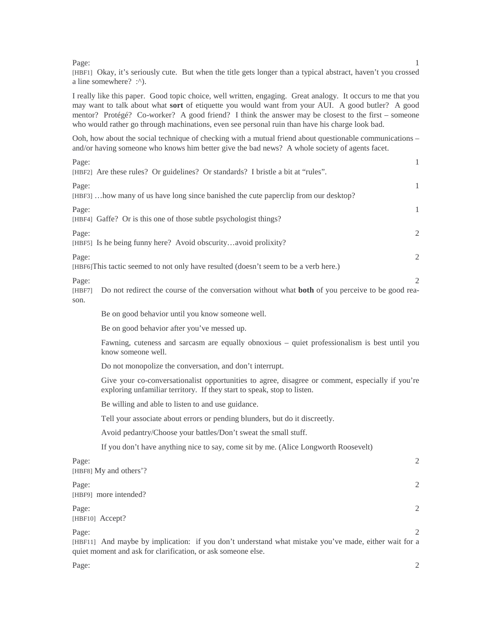#### Page: the contract of the contract of the contract of the contract of the contract of the contract of the contract of the contract of the contract of the contract of the contract of the contract of the contract of the cont

[HBF1] Okay, it's seriously cute. But when the title gets longer than a typical abstract, haven't you crossed a line somewhere? :^).

I really like this paper. Good topic choice, well written, engaging. Great analogy. It occurs to me that you may want to talk about what **sort** of etiquette you would want from your AUI. A good butler? A good mentor? Protégé? Co-worker? A good friend? I think the answer may be closest to the first – someone who would rather go through machinations, even see personal ruin than have his charge look bad.

Ooh, how about the social technique of checking with a mutual friend about questionable communications – and/or having someone who knows him better give the bad news? A whole society of agents facet.

| Page:<br>1<br>[HBF2] Are these rules? Or guidelines? Or standards? I bristle a bit at "rules".                                                                                                  |
|-------------------------------------------------------------------------------------------------------------------------------------------------------------------------------------------------|
| $\mathbf{1}$<br>Page:<br>[HBF3]  how many of us have long since banished the cute paperclip from our desktop?                                                                                   |
| Page:<br>1<br>[HBF4] Gaffe? Or is this one of those subtle psychologist things?                                                                                                                 |
| $\mathbf{2}$<br>Page:<br>[HBF5] Is he being funny here? Avoid obscurityavoid prolixity?                                                                                                         |
| $\mathfrak{2}$<br>Page:<br>[HBF6] This tactic seemed to not only have resulted (doesn't seem to be a verb here.)                                                                                |
| Page:<br>2<br>Do not redirect the course of the conversation without what <b>both</b> of you perceive to be good rea-<br>[HBF7]<br>son.                                                         |
| Be on good behavior until you know someone well.                                                                                                                                                |
| Be on good behavior after you've messed up.                                                                                                                                                     |
| Fawning, cuteness and sarcasm are equally obnoxious – quiet professionalism is best until you<br>know someone well.                                                                             |
| Do not monopolize the conversation, and don't interrupt.                                                                                                                                        |
| Give your co-conversationalist opportunities to agree, disagree or comment, especially if you're<br>exploring unfamiliar territory. If they start to speak, stop to listen.                     |
| Be willing and able to listen to and use guidance.                                                                                                                                              |
| Tell your associate about errors or pending blunders, but do it discreetly.                                                                                                                     |
| Avoid pedantry/Choose your battles/Don't sweat the small stuff.                                                                                                                                 |
| If you don't have anything nice to say, come sit by me. (Alice Longworth Roosevelt)                                                                                                             |
| Page:<br>$\sqrt{2}$<br>[HBF8] My and others'?                                                                                                                                                   |
| 2<br>Page:<br>[HBF9] more intended?                                                                                                                                                             |
| $\mathfrak{2}$<br>Page:<br>[HBF10] Accept?                                                                                                                                                      |
| Page:<br>$\mathcal{L}$<br>[HBF11] And maybe by implication: if you don't understand what mistake you've made, either wait for a<br>quiet moment and ask for clarification, or ask someone else. |

Page: 2